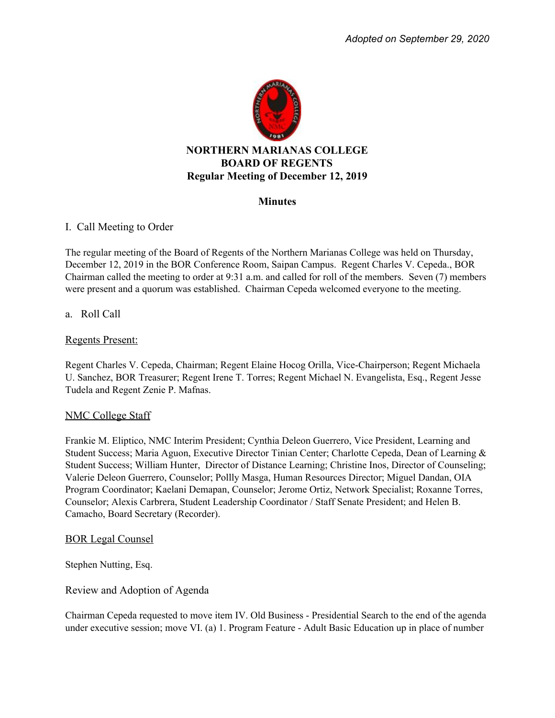

## **Minutes**

# I. Call Meeting to Order

The regular meeting of the Board of Regents of the Northern Marianas College was held on Thursday, December 12, 2019 in the BOR Conference Room, Saipan Campus. Regent Charles V. Cepeda., BOR Chairman called the meeting to order at 9:31 a.m. and called for roll of the members. Seven (7) members were present and a quorum was established. Chairman Cepeda welcomed everyone to the meeting.

# a. Roll Call

## Regents Present:

Regent Charles V. Cepeda, Chairman; Regent Elaine Hocog Orilla, Vice-Chairperson; Regent Michaela U. Sanchez, BOR Treasurer; Regent Irene T. Torres; Regent Michael N. Evangelista, Esq., Regent Jesse Tudela and Regent Zenie P. Mafnas.

## NMC College Staff

Frankie M. Eliptico, NMC Interim President; Cynthia Deleon Guerrero, Vice President, Learning and Student Success; Maria Aguon, Executive Director Tinian Center; Charlotte Cepeda, Dean of Learning & Student Success; William Hunter, Director of Distance Learning; Christine Inos, Director of Counseling; Valerie Deleon Guerrero, Counselor; Pollly Masga, Human Resources Director; Miguel Dandan, OIA Program Coordinator; Kaelani Demapan, Counselor; Jerome Ortiz, Network Specialist; Roxanne Torres, Counselor; Alexis Carbrera, Student Leadership Coordinator / Staff Senate President; and Helen B. Camacho, Board Secretary (Recorder).

## BOR Legal Counsel

Stephen Nutting, Esq.

## Review and Adoption of Agenda

Chairman Cepeda requested to move item IV. Old Business - Presidential Search to the end of the agenda under executive session; move VI. (a) 1. Program Feature - Adult Basic Education up in place of number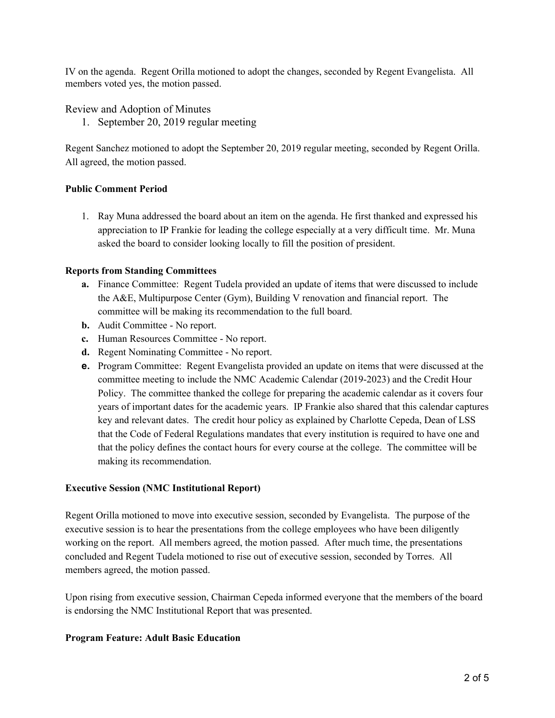IV on the agenda. Regent Orilla motioned to adopt the changes, seconded by Regent Evangelista. All members voted yes, the motion passed.

Review and Adoption of Minutes

1. September 20, 2019 regular meeting

Regent Sanchez motioned to adopt the September 20, 2019 regular meeting, seconded by Regent Orilla. All agreed, the motion passed.

## **Public Comment Period**

1. Ray Muna addressed the board about an item on the agenda. He first thanked and expressed his appreciation to IP Frankie for leading the college especially at a very difficult time. Mr. Muna asked the board to consider looking locally to fill the position of president.

#### **Reports from Standing Committees**

- **a.** Finance Committee: Regent Tudela provided an update of items that were discussed to include the A&E, Multipurpose Center (Gym), Building V renovation and financial report. The committee will be making its recommendation to the full board.
- **b.** Audit Committee No report.
- **c.** Human Resources Committee No report.
- **d.** Regent Nominating Committee No report.
- **e.** Program Committee: Regent Evangelista provided an update on items that were discussed at the committee meeting to include the NMC Academic Calendar (2019-2023) and the Credit Hour Policy. The committee thanked the college for preparing the academic calendar as it covers four years of important dates for the academic years. IP Frankie also shared that this calendar captures key and relevant dates. The credit hour policy as explained by Charlotte Cepeda, Dean of LSS that the Code of Federal Regulations mandates that every institution is required to have one and that the policy defines the contact hours for every course at the college. The committee will be making its recommendation.

## **Executive Session (NMC Institutional Report)**

Regent Orilla motioned to move into executive session, seconded by Evangelista. The purpose of the executive session is to hear the presentations from the college employees who have been diligently working on the report. All members agreed, the motion passed. After much time, the presentations concluded and Regent Tudela motioned to rise out of executive session, seconded by Torres. All members agreed, the motion passed.

Upon rising from executive session, Chairman Cepeda informed everyone that the members of the board is endorsing the NMC Institutional Report that was presented.

## **Program Feature: Adult Basic Education**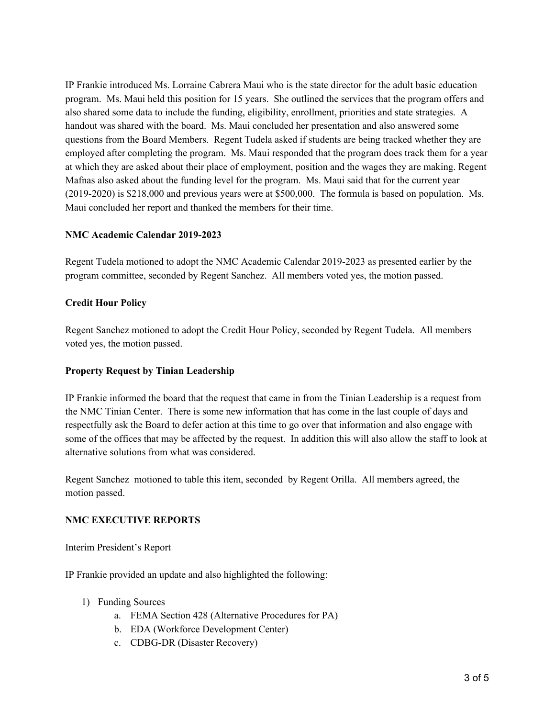IP Frankie introduced Ms. Lorraine Cabrera Maui who is the state director for the adult basic education program. Ms. Maui held this position for 15 years. She outlined the services that the program offers and also shared some data to include the funding, eligibility, enrollment, priorities and state strategies. A handout was shared with the board. Ms. Maui concluded her presentation and also answered some questions from the Board Members. Regent Tudela asked if students are being tracked whether they are employed after completing the program. Ms. Maui responded that the program does track them for a year at which they are asked about their place of employment, position and the wages they are making. Regent Mafnas also asked about the funding level for the program. Ms. Maui said that for the current year (2019-2020) is \$218,000 and previous years were at \$500,000. The formula is based on population. Ms. Maui concluded her report and thanked the members for their time.

## **NMC Academic Calendar 2019-2023**

Regent Tudela motioned to adopt the NMC Academic Calendar 2019-2023 as presented earlier by the program committee, seconded by Regent Sanchez. All members voted yes, the motion passed.

#### **Credit Hour Policy**

Regent Sanchez motioned to adopt the Credit Hour Policy, seconded by Regent Tudela. All members voted yes, the motion passed.

#### **Property Request by Tinian Leadership**

IP Frankie informed the board that the request that came in from the Tinian Leadership is a request from the NMC Tinian Center. There is some new information that has come in the last couple of days and respectfully ask the Board to defer action at this time to go over that information and also engage with some of the offices that may be affected by the request. In addition this will also allow the staff to look at alternative solutions from what was considered.

Regent Sanchez motioned to table this item, seconded by Regent Orilla. All members agreed, the motion passed.

#### **NMC EXECUTIVE REPORTS**

Interim President's Report

IP Frankie provided an update and also highlighted the following:

- 1) Funding Sources
	- a. FEMA Section 428 (Alternative Procedures for PA)
	- b. EDA (Workforce Development Center)
	- c. CDBG-DR (Disaster Recovery)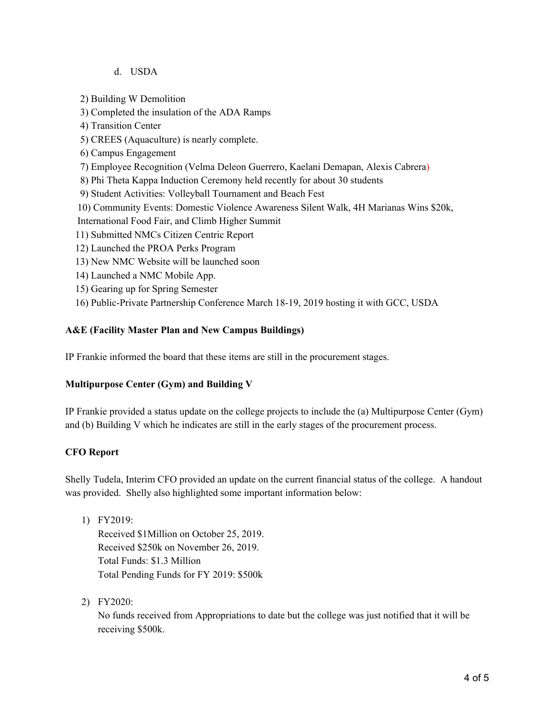## d. USDA

2) Building W Demolition

3) Completed the insulation of the ADA Ramps

4) Transition Center

5) CREES (Aquaculture) is nearly complete.

6) Campus Engagement

7) Employee Recognition (Velma Deleon Guerrero, Kaelani Demapan, Alexis Cabrera)

8) Phi Theta Kappa Induction Ceremony held recently for about 30 students

9) Student Activities: Volleyball Tournament and Beach Fest

10) Community Events: Domestic Violence Awareness Silent Walk, 4H Marianas Wins \$20k,

International Food Fair, and Climb Higher Summit

- 11) Submitted NMCs Citizen Centric Report
- 12) Launched the PROA Perks Program
- 13) New NMC Website will be launched soon
- 14) Launched a NMC Mobile App.
- 15) Gearing up for Spring Semester
- 16) Public-Private Partnership Conference March 18-19, 2019 hosting it with GCC, USDA

## **A&E (Facility Master Plan and New Campus Buildings)**

IP Frankie informed the board that these items are still in the procurement stages.

## **Multipurpose Center (Gym) and Building V**

IP Frankie provided a status update on the college projects to include the (a) Multipurpose Center (Gym) and (b) Building V which he indicates are still in the early stages of the procurement process.

## **CFO Report**

Shelly Tudela, Interim CFO provided an update on the current financial status of the college. A handout was provided. Shelly also highlighted some important information below:

- 1) FY2019: Received \$1Million on October 25, 2019. Received \$250k on November 26, 2019. Total Funds: \$1.3 Million Total Pending Funds for FY 2019: \$500k
- 2) FY2020:

No funds received from Appropriations to date but the college was just notified that it will be receiving \$500k.